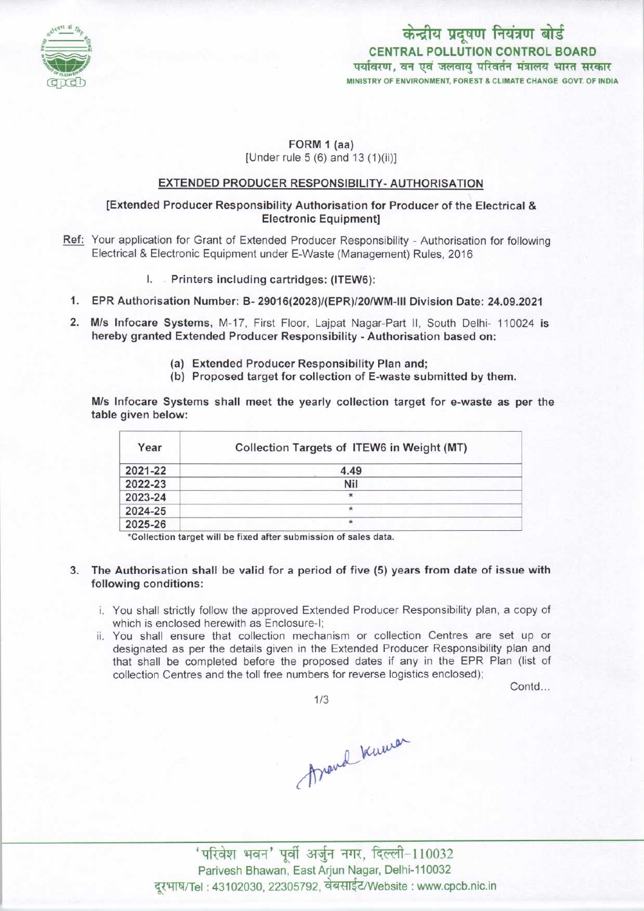

केन्द्रीय प्रदूषण नियंत्रण बोर्ड CENTRAL POLLUTION CONTROL BOARD<br>पर्यावरण, वन एवं जलवाय परिवर्तन मंत्रालय भारत सरकार MINISTRY OF ENVIRONMENT, FOREST & CLIMATE CHANGE GOVT. OF INDIA

# FORM 1 (aa) [Under rule 5 (6) and 13 (1)(ii)]

# EXTENDED PRODUCER RESPONSIBILITY- AUTHORISATION

### [Extended Producer Responsibility Authorisation for Producer ofthe Electrical & Electronic Equipment]

- Ref: Your application for Grant of Extended Producer Responsibility Authorisation for following Electrical & Electronic Equipment under E-Waste (Management) Rules, 2016
	- I. Printers including cartridges: (ITEW6):
- 1.EPR Authorisation Number: B- 29016(2028)/(EPR)/20/WM-lll Division Date: 24.09.2021
- 2.M/s Infocare Systems, M-17, First Floor, Lajpat Nagar-Part II, South Delhi- <sup>110024</sup> is hereby granted Extended Producer Responsibility - Authorisation based on:
	- (a)Extended Producer Responsibility Plan and;
	- (b) Proposed target for collection of E-waste submitted by them.

M/s Infocare Systems shall meet the yearly collection target for e-waste as per the table given below:

| Year    | Collection Targets of ITEW6 in Weight (MT) |
|---------|--------------------------------------------|
| 2021-22 | 4.49                                       |
| 2022-23 | Nil                                        |
| 2023-24 |                                            |
| 2024-25 |                                            |
| 2025-26 | ŵ                                          |

\*Collection target will be fixed after submission of sales data.

- 3. The Authorisation shall be valid for a period of five (5) years from date of issue with following conditions:
	- i. You shall strictly follow the approved Extended Producer Responsibility plan, a copy of which is enclosed herewith as Enclosure-I;
	- ii. You shall ensure that collection mechanism or collection Centres are set up or designated as per the details given in the Extended Producer Responsibility plan and that shall be completed before the proposed dates if any in the EPR Plan (list of collection Centres and the toll free numbers for reverse logistics enclosed);

Contd...

1/3

Around knowa

' परिवेश भवन' पूर्वी अर्जुन नगर, दिल्ली-110032 Parivesh Bhawan, East Arjun Nagar, Delhi-110032 दरभाष/Tel : 43102030, 22305792, वेबसाईट/Website : www.cpcb.nic.in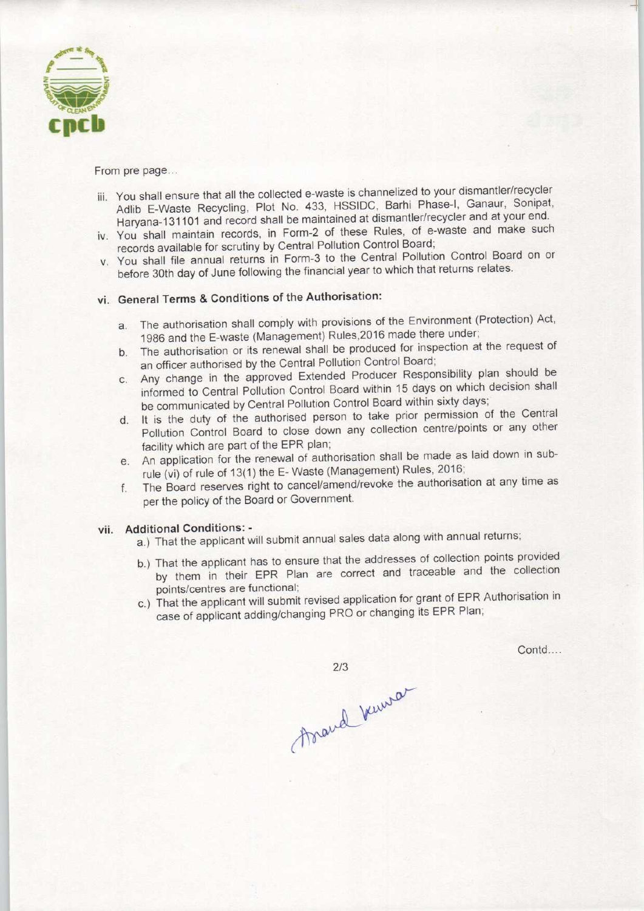

From pre page...

- iii. You shall ensure that all the collected e-waste is channelized to your dismantler/recycler Adlib E-Waste Recycling, Plot No. 433, HSSIDC, Barhi Phase-I, Ganaur, Sonipat, Haryana-131101 and record shall be maintained at dismantler/recycler and at your end.
- iv. You shall maintain records, in Form-2 of these Rules, of e-waste and make such records available for scrutiny by Central Pollution Control Board;
- v. You shall file annual returns in Form-3 to the Central Pollution Control Board on or before 30th day of June following the financial year to which that returns relates.

# vi. General Terms & Conditions of the Authorisation:

- a.The authorisation shall comply with provisions of the Environment (Protection) Act, 1986 and the E-waste (Management) Rules, 2016 made there under;
- b. The authorisation or its renewal shall be produced for inspection at the request of an officer authorised by the Central Pollution Control Board;
- c.Any change in the approved Extended Producer Responsibility plan should be informed to Central Pollution Control Board within 15 days on which decision shall be communicated by Central Pollution Control Board within sixty days;
- d. It is the duty of the authorised person to take prior permission of the Central Pollution Control Board to close down any collection centre/points or any other facility which are part of the EPR plan;
- e.An application for the renewal of authorisation shall be made as laid down in subrule (vi) of rule of 13(1) the E- Waste (Management) Rules, 2016;
- f. The Board reserves right to cancel/amend/revoke the authorisation at any time as per the policy of the Board or Government.

#### vii. Additional Conditions: -

- a.) That the applicant will submit annual sales data along with annual returns;
- b.) That the applicant has to ensure that the addresses of collection points provided by them in their EPR Plan are correct and traceable and the collection points/centres are functional;
- c.) That the applicant will submit revised application for grant of EPR Authorisation in case of applicant adding/changing PRO or changing its EPR Plan;

 $2/3$ 

Contd....

Arand Venusa